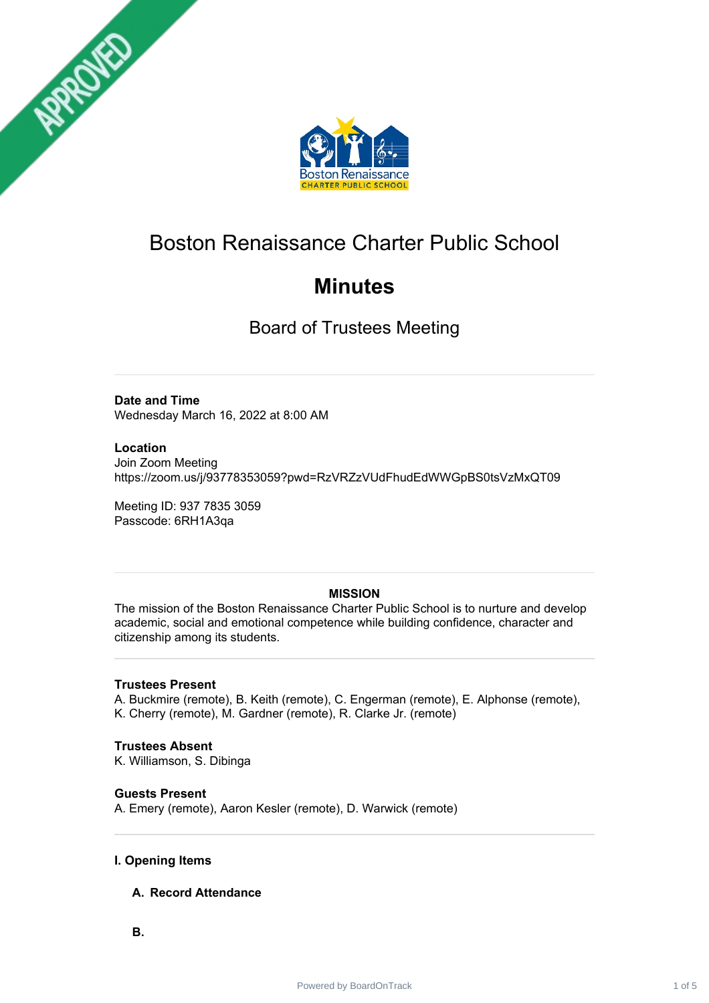



# Boston Renaissance Charter Public School

# **Minutes**

Board of Trustees Meeting

# **Date and Time**

Wednesday March 16, 2022 at 8:00 AM

#### **Location**

Join Zoom Meeting https://zoom.us/j/93778353059?pwd=RzVRZzVUdFhudEdWWGpBS0tsVzMxQT09

Meeting ID: 937 7835 3059 Passcode: 6RH1A3qa

# **MISSION**

The mission of the Boston Renaissance Charter Public School is to nurture and develop academic, social and emotional competence while building confidence, character and citizenship among its students.

#### **Trustees Present**

A. Buckmire (remote), B. Keith (remote), C. Engerman (remote), E. Alphonse (remote), K. Cherry (remote), M. Gardner (remote), R. Clarke Jr. (remote)

# **Trustees Absent**

K. Williamson, S. Dibinga

# **Guests Present**

A. Emery (remote), Aaron Kesler (remote), D. Warwick (remote)

# **I. Opening Items**

- **A. Record Attendance**
- **B.**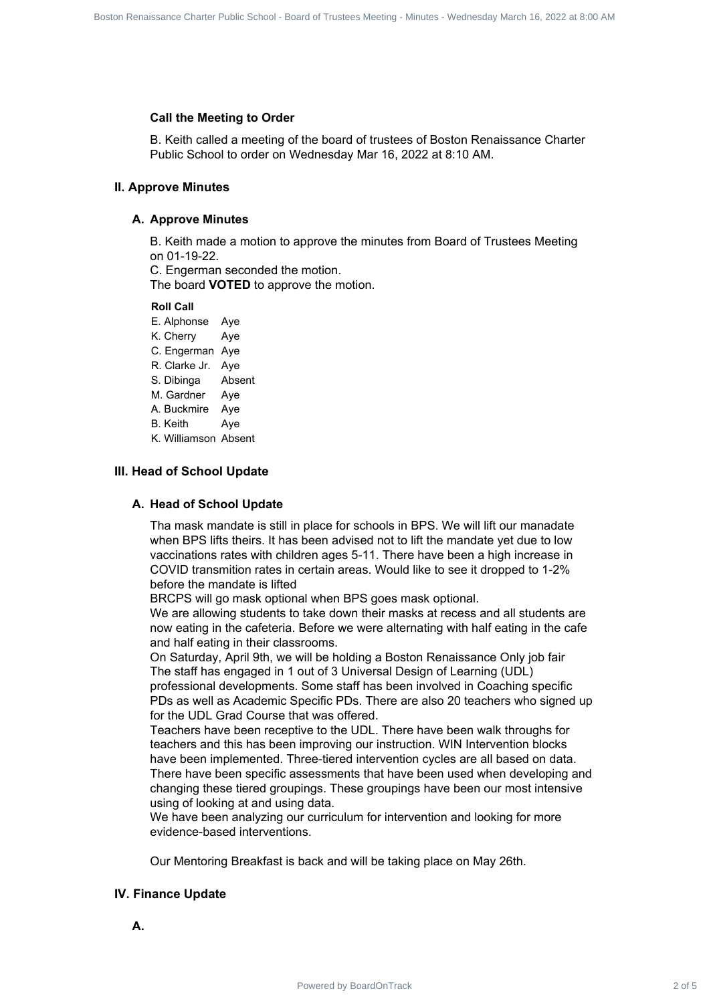#### **Call the Meeting to Order**

B. Keith called a meeting of the board of trustees of Boston Renaissance Charter Public School to order on Wednesday Mar 16, 2022 at 8:10 AM.

#### **II. Approve Minutes**

#### **A. Approve Minutes**

B. Keith made a motion to approve the minutes from Board of Trustees Meeting on 01-19-22.

C. Engerman seconded the motion.

The board **VOTED** to approve the motion.

**Roll Call**

E. Alphonse Aye K. Cherry Aye C. Engerman Aye

R. Clarke Jr. Aye

S. Dibinga Absent

M. Gardner Aye

A. Buckmire Aye

B. Keith Aye

K. Williamson Absent

#### **III. Head of School Update**

#### **A. Head of School Update**

Tha mask mandate is still in place for schools in BPS. We will lift our manadate when BPS lifts theirs. It has been advised not to lift the mandate yet due to low vaccinations rates with children ages 5-11. There have been a high increase in COVID transmition rates in certain areas. Would like to see it dropped to 1-2% before the mandate is lifted

BRCPS will go mask optional when BPS goes mask optional.

We are allowing students to take down their masks at recess and all students are now eating in the cafeteria. Before we were alternating with half eating in the cafe and half eating in their classrooms.

On Saturday, April 9th, we will be holding a Boston Renaissance Only job fair The staff has engaged in 1 out of 3 Universal Design of Learning (UDL) professional developments. Some staff has been involved in Coaching specific PDs as well as Academic Specific PDs. There are also 20 teachers who signed up for the UDL Grad Course that was offered.

Teachers have been receptive to the UDL. There have been walk throughs for teachers and this has been improving our instruction. WIN Intervention blocks have been implemented. Three-tiered intervention cycles are all based on data. There have been specific assessments that have been used when developing and changing these tiered groupings. These groupings have been our most intensive using of looking at and using data. Power Control Control Control Control Control Control Control Control Control Control Control Control Control Control Control Control Control Control Control Control Control Control Control Control Control Control Control

We have been analyzing our curriculum for intervention and looking for more evidence-based interventions.

Our Mentoring Breakfast is back and will be taking place on May 26th.

#### **IV. Finance Update**

**A.**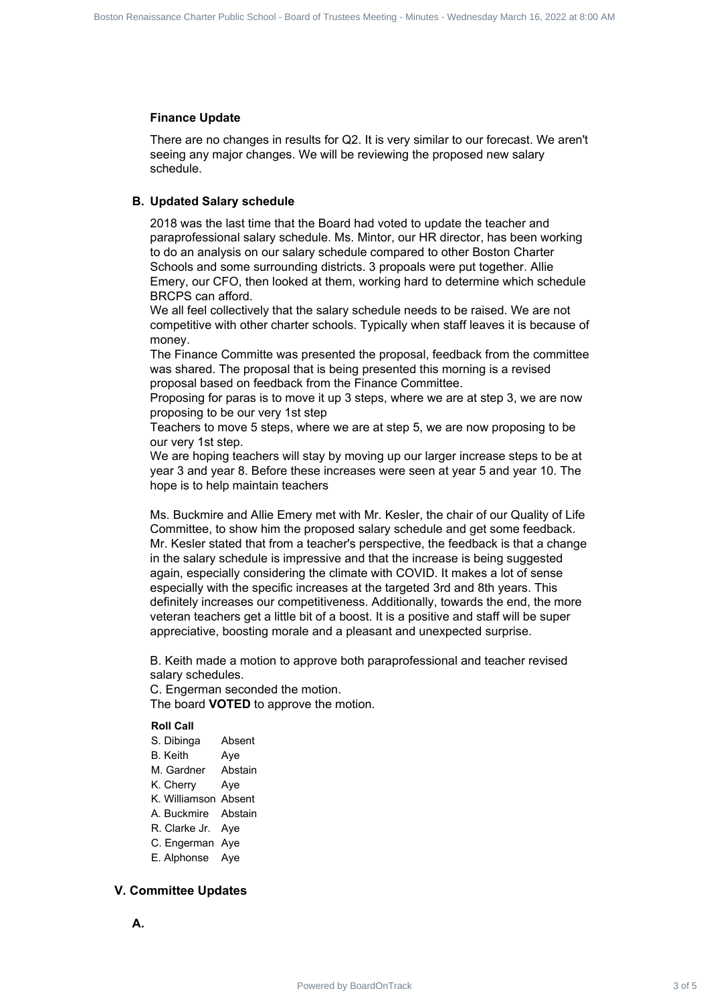#### **Finance Update**

There are no changes in results for Q2. It is very similar to our forecast. We aren't seeing any major changes. We will be reviewing the proposed new salary schedule.

#### **B. Updated Salary schedule**

2018 was the last time that the Board had voted to update the teacher and paraprofessional salary schedule. Ms. Mintor, our HR director, has been working to do an analysis on our salary schedule compared to other Boston Charter Schools and some surrounding districts. 3 propoals were put together. Allie Emery, our CFO, then looked at them, working hard to determine which schedule BRCPS can afford.

We all feel collectively that the salary schedule needs to be raised. We are not competitive with other charter schools. Typically when staff leaves it is because of money.

The Finance Committe was presented the proposal, feedback from the committee was shared. The proposal that is being presented this morning is a revised proposal based on feedback from the Finance Committee.

Proposing for paras is to move it up 3 steps, where we are at step 3, we are now proposing to be our very 1st step

Teachers to move 5 steps, where we are at step 5, we are now proposing to be our very 1st step.

We are hoping teachers will stay by moving up our larger increase steps to be at year 3 and year 8. Before these increases were seen at year 5 and year 10. The hope is to help maintain teachers

Ms. Buckmire and Allie Emery met with Mr. Kesler, the chair of our Quality of Life Committee, to show him the proposed salary schedule and get some feedback. Mr. Kesler stated that from a teacher's perspective, the feedback is that a change in the salary schedule is impressive and that the increase is being suggested again, especially considering the climate with COVID. It makes a lot of sense especially with the specific increases at the targeted 3rd and 8th years. This definitely increases our competitiveness. Additionally, towards the end, the more veteran teachers get a little bit of a boost. It is a positive and staff will be super appreciative, boosting morale and a pleasant and unexpected surprise. **Finance Charter State Board Track 3 of Board Track 3 of Board of School - Board of School - Board of School - Board of Charter School - Board - Board - Board - Board - Board - Board - Board - Board - Board - Board - Boar** 

B. Keith made a motion to approve both paraprofessional and teacher revised salary schedules.

C. Engerman seconded the motion. The board **VOTED** to approve the motion.

#### **Roll Call**

S. Dibinga Absent B. Keith Aye M. Gardner Abstain K. Cherry Aye K. Williamson Absent A. Buckmire Abstain R. Clarke Jr. Aye C. Engerman Aye E. Alphonse Aye

#### **V. Committee Updates**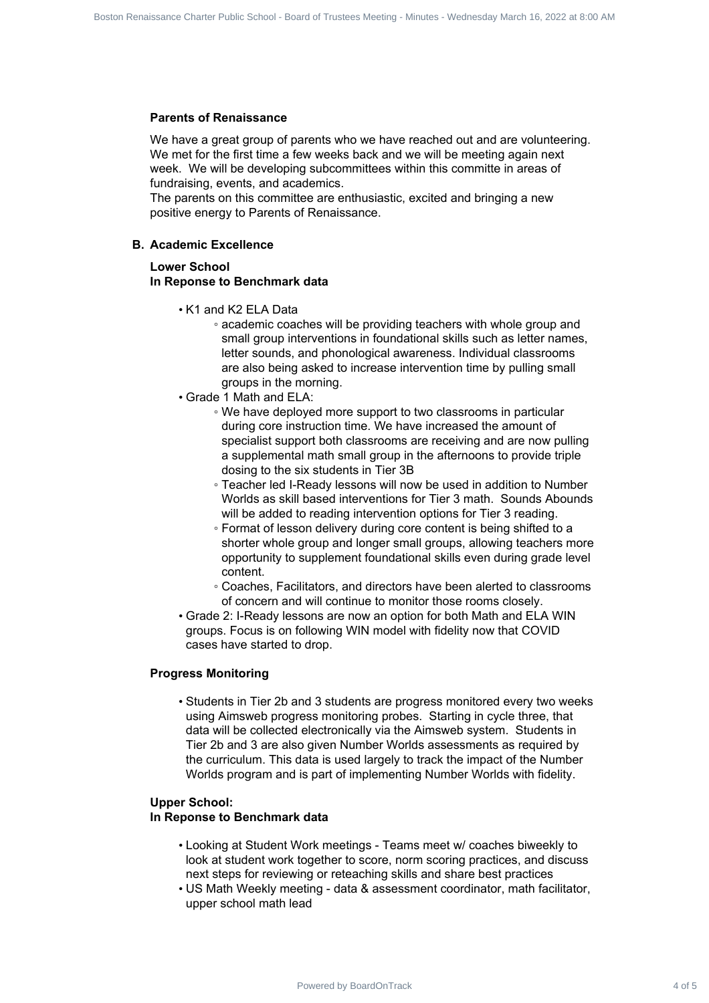#### **Parents of Renaissance**

We have a great group of parents who we have reached out and are volunteering. We met for the first time a few weeks back and we will be meeting again next week. We will be developing subcommittees within this committe in areas of fundraising, events, and academics.

The parents on this committee are enthusiastic, excited and bringing a new positive energy to Parents of Renaissance.

#### **B. Academic Excellence**

#### **Lower School In Reponse to Benchmark data**

- K1 and K2 ELA Data
	- academic coaches will be providing teachers with whole group and small group interventions in foundational skills such as letter names, letter sounds, and phonological awareness. Individual classrooms are also being asked to increase intervention time by pulling small groups in the morning.
- Grade 1 Math and ELA:
	- We have deployed more support to two classrooms in particular during core instruction time. We have increased the amount of specialist support both classrooms are receiving and are now pulling a supplemental math small group in the afternoons to provide triple dosing to the six students in Tier 3B
	- Teacher led I-Ready lessons will now be used in addition to Number Worlds as skill based interventions for Tier 3 math. Sounds Abounds will be added to reading intervention options for Tier 3 reading.
	- Format of lesson delivery during core content is being shifted to a shorter whole group and longer small groups, allowing teachers more opportunity to supplement foundational skills even during grade level content.
	- Coaches, Facilitators, and directors have been alerted to classrooms of concern and will continue to monitor those rooms closely.
- Grade 2: I-Ready lessons are now an option for both Math and ELA WIN groups. Focus is on following WIN model with fidelity now that COVID cases have started to drop.

#### **Progress Monitoring**

• Students in Tier 2b and 3 students are progress monitored every two weeks using Aimsweb progress monitoring probes. Starting in cycle three, that data will be collected electronically via the Aimsweb system. Students in Tier 2b and 3 are also given Number Worlds assessments as required by the curriculum. This data is used largely to track the impact of the Number Worlds program and is part of implementing Number Worlds with fidelity. Power by Board Charter School of Frack 4 of Frack 4 of Frack 4 of Frack 4 of Frack 4 of Frack 4 of Frack 4 of Frack 4 of Frack 4 of Frack 4 of Frack 4 of Frack 4 of Frack 4 of Frack 4 of Frack 4 of Frack 4 of Frack 4 of Fr

#### **Upper School:**

#### **In Reponse to Benchmark data**

- Looking at Student Work meetings Teams meet w/ coaches biweekly to look at student work together to score, norm scoring practices, and discuss next steps for reviewing or reteaching skills and share best practices
- US Math Weekly meeting data & assessment coordinator, math facilitator, upper school math lead